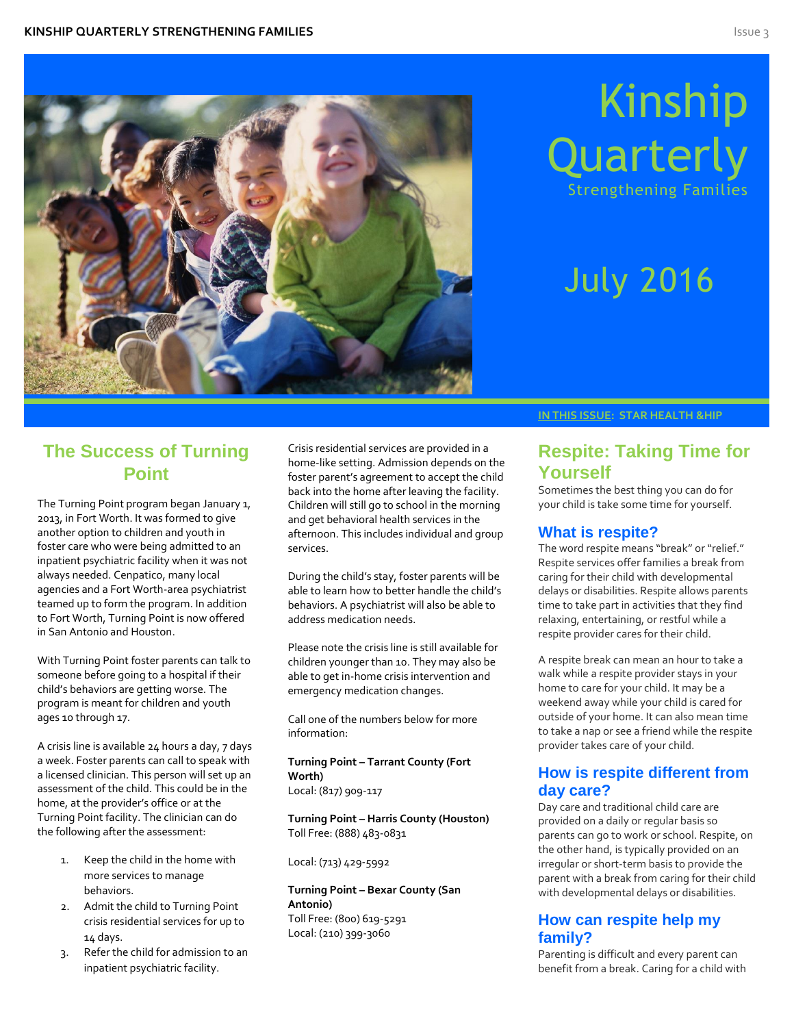

# Kinship Quarterl Strengthening Families

# July 2016

# **The Success of Turning Point**

The Turning Point program began January 1, 2013, in Fort Worth. It was formed to give another option to children and youth in foster care who were being admitted to an inpatient psychiatric facility when it was not always needed. Cenpatico, many local agencies and a Fort Worth-area psychiatrist teamed up to form the program. In addition to Fort Worth, Turning Point is now offered in San Antonio and Houston.

With Turning Point foster parents can talk to someone before going to a hospital if their child's behaviors are getting worse. The program is meant for children and youth ages 10 through 17.

A crisis line is available 24 hours a day, 7 days a week. Foster parents can call to speak with a licensed clinician. This person will set up an assessment of the child. This could be in the home, at the provider's office or at the Turning Point facility. The clinician can do the following after the assessment:

- 1. Keep the child in the home with more services to manage behaviors.
- 2. Admit the child to Turning Point crisis residential services for up to 14 days.
- 3. Refer the child for admission to an inpatient psychiatric facility.

Crisis residential services are provided in a home-like setting. Admission depends on the foster parent's agreement to accept the child back into the home after leaving the facility. Children will still go to school in the morning and get behavioral health services in the afternoon. This includes individual and group services.

During the child's stay, foster parents will be able to learn how to better handle the child's behaviors. A psychiatrist will also be able to address medication needs.

Please note the crisis line is still available for children younger than 10. They may also be able to get in-home crisis intervention and emergency medication changes.

Call one of the numbers below for more information:

**Turning Point – Tarrant County (Fort Worth)** Local: (817) 909-117

**Turning Point – Harris County (Houston)** Toll Free: (888) 483-0831

Local: (713) 429-5992

**Turning Point – Bexar County (San Antonio)** Toll Free: (800) 619-5291 Local: (210) 399-3060

### **IN THIS ISSUE: STAR HEALTH &HIP**

# **Respite: Taking Time for Yourself**

Sometimes the best thing you can do for your child is take some time for yourself.

## **What is respite?**

The word respite means "break" or "relief." Respite services offer families a break from caring for their child with developmental delays or disabilities. Respite allows parents time to take part in activities that they find relaxing, entertaining, or restful while a respite provider cares for their child.

A respite break can mean an hour to take a walk while a respite provider stays in your home to care for your child. It may be a weekend away while your child is cared for outside of your home. It can also mean time to take a nap or see a friend while the respite provider takes care of your child.

# **How is respite different from day care?**

Day care and traditional child care are provided on a daily or regular basis so parents can go to work or school. Respite, on the other hand, is typically provided on an irregular or short-term basis to provide the parent with a break from caring for their child with developmental delays or disabilities.

# **How can respite help my family?**

Parenting is difficult and every parent can benefit from a break. Caring for a child with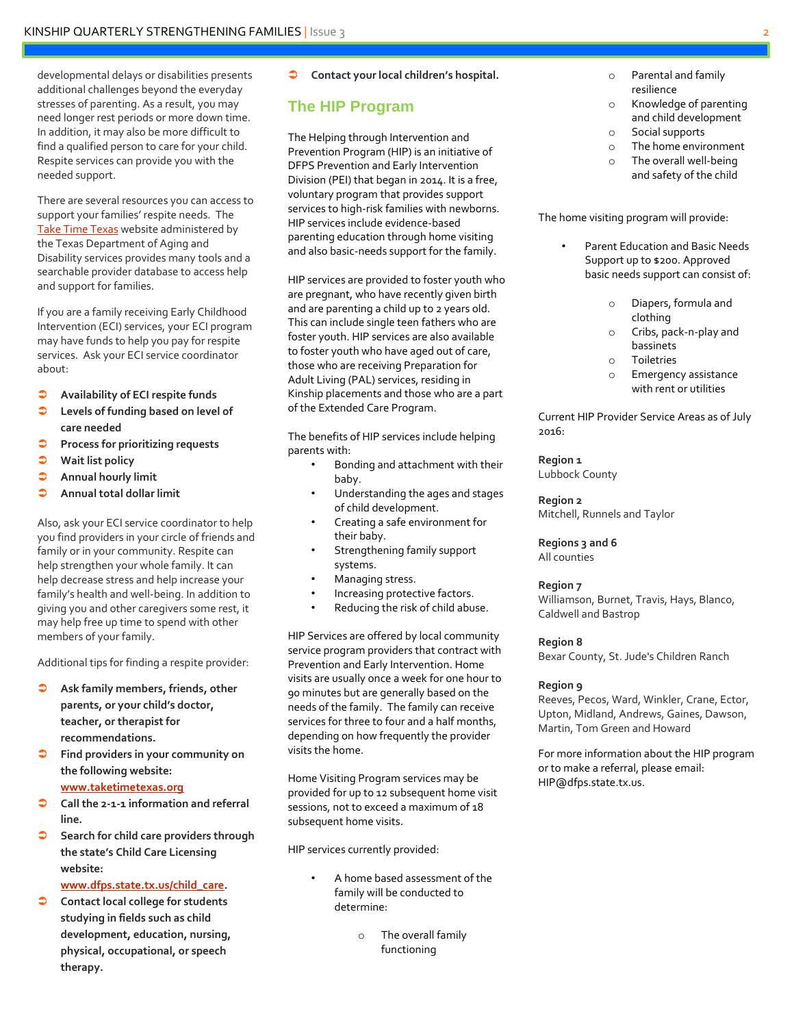developmental delays or disabilities presents additional challenges beyond the everyday stresses of parenting. As a result, you may need longer rest periods or more down time. In addition, it may also be more difficult to find a qualified person to care for your child. Respite services can provide you with the needed support.

There are several resources you can access to support your families' respite needs. The [Take Time Texas](https://www.dads.state.tx.us/taketimetexas/) website administered by the Texas Department of Aging and Disability services provides many tools and a searchable provider database to access help and support for families.

If you are a family receiving Early Childhood Intervention (ECI) services, your ECI program may have funds to help you pay for respite services. Ask your ECI service coordinator about:

- **Availability of ECI respite funds**
- **Levels of funding based on level of care needed**
- **Process for prioritizing requests**
- **Wait list policy**
- **Annual hourly limit**
- **Annual total dollar limit**

Also, ask your ECI service coordinator to help you find providers in your circle of friends and family or in your community. Respite can help strengthen your whole family. It can help decrease stress and help increase your family's health and well-being. In addition to giving you and other caregivers some rest, it may help free up time to spend with other members of your family.

Additional tips for finding a respite provider:

- **Ask family members, friends, other parents, or your child's doctor, teacher, or therapist for recommendations.**
- **Find providers in your community on the following website: [www.taketimetexas.org](http://www.taketimetexas.org/)**
- **Call the 2-1-1 information and referral line.**
- **Search for child care providers through the state's Child Care Licensing website:**

**[www.dfps.state.tx.us/child\\_care.](http://www.dfps.state.tx.us/child_care)** 

 **Contact local college for students studying in fields such as child development, education, nursing, physical, occupational, or speech therapy.**

**Contact your local children's hospital.**

# **The HIP Program**

The Helping through Intervention and Prevention Program (HIP) is an initiative of DFPS Prevention and Early Intervention Division (PEI) that began in 2014. It is a free, voluntary program that provides support services to high-risk families with newborns. HIP services include evidence-based parenting education through home visiting and also basic-needs support for the family.

HIP services are provided to foster youth who are pregnant, who have recently given birth and are parenting a child up to 2 years old. This can include single teen fathers who are foster youth. HIP services are also available to foster youth who have aged out of care, those who are receiving Preparation for Adult Living (PAL) services, residing in Kinship placements and those who are a part of the Extended Care Program.

The benefits of HIP services include helping parents with:

- Bonding and attachment with their baby.
- Understanding the ages and stages of child development.
- Creating a safe environment for their baby.
- Strengthening family support systems.
- Managing stress.
- Increasing protective factors.
- Reducing the risk of child abuse.

HIP Services are offered by local community service program providers that contract with Prevention and Early Intervention. Home visits are usually once a week for one hour to 90 minutes but are generally based on the needs of the family. The family can receive services for three to four and a half months, depending on how frequently the provider visits the home.

Home Visiting Program services may be provided for up to 12 subsequent home visit sessions, not to exceed a maximum of 18 subsequent home visits.

HIP services currently provided:

- A home based assessment of the family will be conducted to determine:
	- o The overall family functioning
- o Parental and family resilience
- o Knowledge of parenting and child development
- o Social supports
- o The home environment
- o The overall well-being
	- and safety of the child

The home visiting program will provide:

- Parent Education and Basic Needs Support up to \$200. Approved basic needs support can consist of:
	- o Diapers, formula and clothing
	- o Cribs, pack-n-play and bassinets
	- o Toiletries
	- o Emergency assistance with rent or utilities

Current HIP Provider Service Areas as of July 2016:

## **Region 1**

Lubbock County

**Region 2** Mitchell, Runnels and Taylor

**Regions 3 and 6**

All counties

#### **Region 7**

Williamson, Burnet, Travis, Hays, Blanco, Caldwell and Bastrop

#### **Region 8**

Bexar County, St. Jude's Children Ranch

#### **Region 9**

Reeves, Pecos, Ward, Winkler, Crane, Ector, Upton, Midland, Andrews, Gaines, Dawson, Martin, Tom Green and Howard

For more information about the HIP program or to make a referral, please email: HIP@dfps.state.tx.us.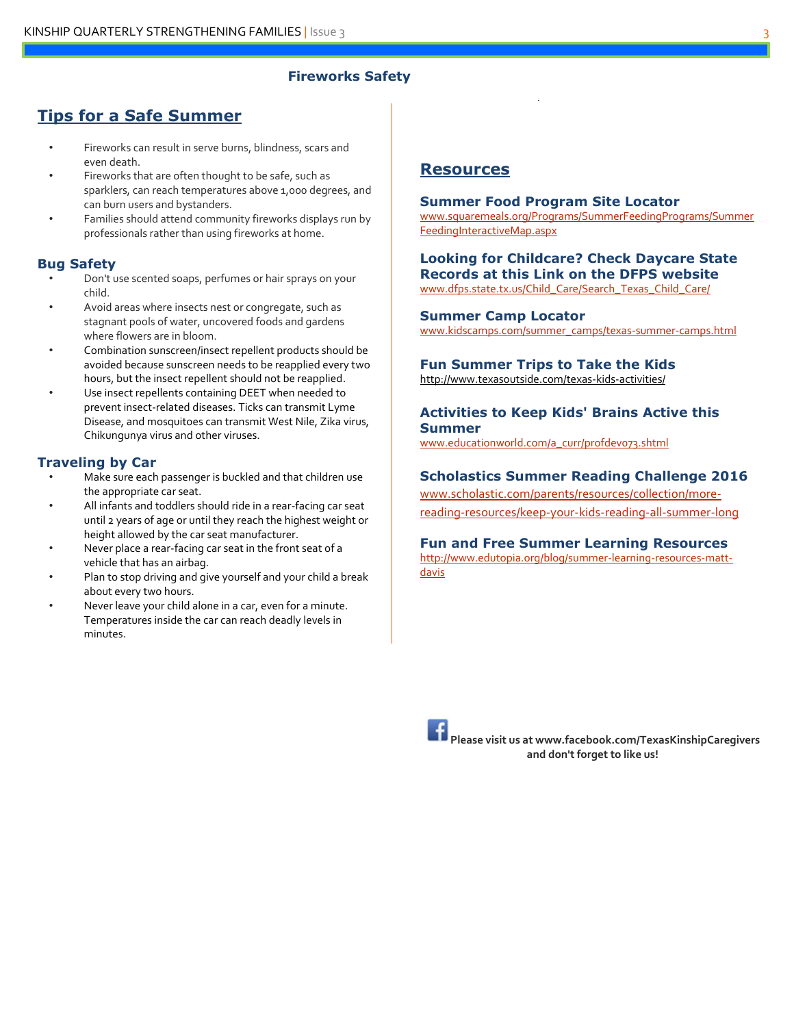## **Fireworks Safety**

# **Tips for a Safe Summer**

- Fireworks can result in serve burns, blindness, scars and even death.
- Fireworks that are often thought to be safe, such as sparklers, can reach temperatures above 1,000 degrees, and can burn users and bystanders.
- Families should attend community fireworks displays run by professionals rather than using fireworks at home.

## **Bug Safety**

- Don't use scented soaps, perfumes or hair sprays on your child.
- Avoid areas where insects nest or congregate, such as stagnant pools of water, uncovered foods and gardens where flowers are in bloom.
- Combination sunscreen/insect repellent products should be avoided because sunscreen needs to be reapplied every two hours, but the insect repellent should not be reapplied.
- Use insect repellents containing DEET when needed to prevent insect-related diseases. Ticks can transmit Lyme Disease, and mosquitoes can transmit West Nile, Zika virus, Chikungunya virus and other viruses.

## **Traveling by Car**

- Make sure each passenger is buckled and that children use the appropriate car seat.
- All infants and toddlers should ride in a rear-facing car seat until 2 years of age or until they reach the highest weight or height allowed by the car seat manufacturer.
- Never place a rear-facing car seat in the front seat of a vehicle that has an airbag.
- Plan to stop driving and give yourself and your child a break about every two hours.
- Never leave your child alone in a car, even for a minute. Temperatures inside the car can reach deadly levels in minutes.

# **Resources**

#### **Summer Food Program Site Locator**

[www.squaremeals.org/Programs/SummerFeedingPrograms/Summer](http://www.squaremeals.org/Programs/SummerFeedingPrograms/SummerFeedingInteractiveMap.aspx) [FeedingInteractiveMap.aspx](http://www.squaremeals.org/Programs/SummerFeedingPrograms/SummerFeedingInteractiveMap.aspx)

**Looking for Childcare? Check Daycare State Records at this Link on the DFPS website** [www.dfps.state.tx.us/Child\\_Care/Search\\_Texas\\_Child\\_Care/](http://www.dfps.state.tx.us/Child_Care/Search_Texas_Child_Care/)

### **Summer Camp Locator**

[www.kidscamps.com/summer\\_camps/texas-summer-camps.html](http://www.kidscamps.com/summer_camps/texas-summer-camps.html)

## **Fun Summer Trips to Take the Kids**

<http://www.texasoutside.com/texas-kids-activities/>

## **Activities to Keep Kids' Brains Active this Summer**

[www.educationworld.com/a\\_curr/profdev073.shtml](http://www.educationworld.com/a_curr/profdev073.shtml)

## **Scholastics Summer Reading Challenge 2016**

[www.scholastic.com/parents/resources/collection/more](http://www.scholastic.com/parents/resources/collection/more-reading-resources/keep-your-kids-reading-all-summer-long)[reading-resources/keep-your-kids-reading-all-summer-long](http://www.scholastic.com/parents/resources/collection/more-reading-resources/keep-your-kids-reading-all-summer-long)

## **Fun and Free Summer Learning Resources**

[http://www.edutopia.org/blog/summer-learning-resources-matt](http://www.edutopia.org/blog/summer-learning-resources-matt-davis)[davis](http://www.edutopia.org/blog/summer-learning-resources-matt-davis)